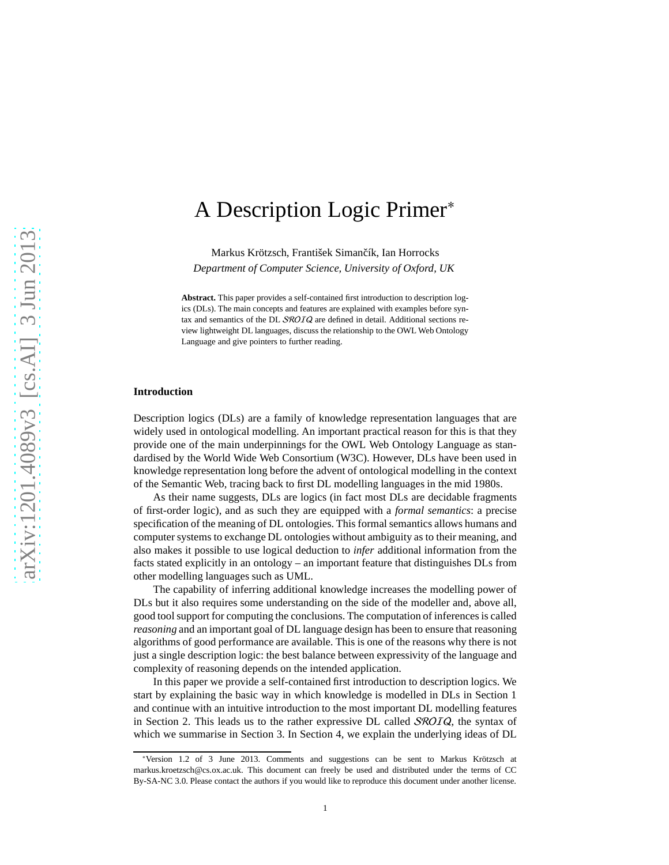# A Description Logic Primer<sup>∗</sup>

[Markus Krötzsch,](http://korrekt.org/) František Simančík, [Ian Horrocks](http://www.cs.ox.ac.uk/ian.horrocks/) *Department of Computer Science, University of Oxford, UK*

**Abstract.** This paper provides a self-contained first introduction to description logics (DLs). The main concepts and features are explained with examples before syntax and semantics of the DL SROIQ are defined in detail. Additional sections review lightweight DL languages, discuss the relationship to the OWL Web Ontology Language and give pointers to further reading.

## **Introduction**

Description logics (DLs) are a family of knowledge representation languages that are widely used in ontological modelling. An important practical reason for this is that they provide one of the main underpinnings for the OWL Web Ontology Language as standardised by the World Wide Web Consortium (W3C). However, DLs have been used in knowledge representation long before the advent of ontological modelling in the context of the Semantic Web, tracing back to first DL modelling languages in the mid 1980s.

As their name suggests, DLs are logics (in fact most DLs are decidable fragments of first-order logic), and as such they are equipped with a *formal semantics*: a precise specification of the meaning of DL ontologies. This formal semantics allows humans and computer systems to exchange DL ontologies without ambiguity as to their meaning, and also makes it possible to use logical deduction to *infer* additional information from the facts stated explicitly in an ontology – an important feature that distinguishes DLs from other modelling languages such as UML.

The capability of inferring additional knowledge increases the modelling power of DLs but it also requires some understanding on the side of the modeller and, above all, good tool support for computing the conclusions. The computation of inferences is called *reasoning* and an important goal of DL language design has been to ensure that reasoning algorithms of good performance are available. This is one of the reasons why there is not just a single description logic: the best balance between expressivity of the language and complexity of reasoning depends on the intended application.

In this paper we provide a self-contained first introduction to description logics. We start by explaining the basic way in which knowledge is modelled in DLs in Section [1](#page-1-0) and continue with an intuitive introduction to the most important DL modelling features in Section [2.](#page-3-0) This leads us to the rather expressive DL called  $SROIQ$ , the syntax of which we summarise in Section [3.](#page-7-0) In Section [4,](#page-8-0) we explain the underlying ideas of DL

<sup>∗</sup>Version 1.2 of 3 June 2013. Comments and suggestions can be sent to Markus Krötzsch at markus.kroetzsch@cs.ox.ac.uk. This document can freely be used and distributed under the terms of CC [By-SA-NC 3.0.](http://creativecommons.org/licenses/by-nc-sa/3.0/) Please contact the authors if you would like to reproduce this document under another license.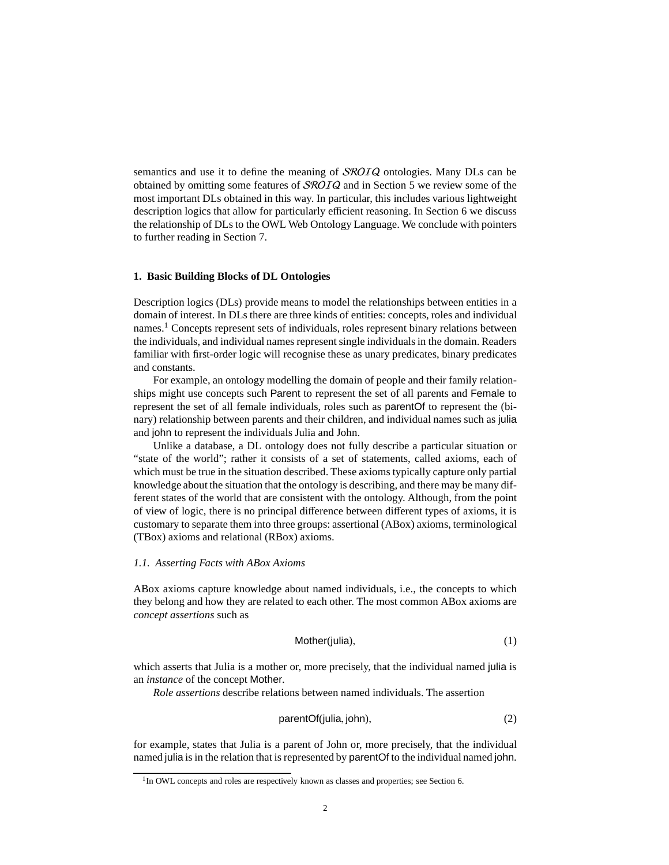semantics and use it to define the meaning of *SROIQ* ontologies. Many DLs can be obtained by omitting some features of SROIQ and in Section [5](#page-11-0) we review some of the most important DLs obtained in this way. In particular, this includes various lightweight description logics that allow for particularly efficient reasoning. In Section [6](#page-13-0) we discuss the relationship of DLs to the OWL Web Ontology Language. We conclude with pointers to further reading in Section [7.](#page-14-0)

# <span id="page-1-0"></span>**1. Basic Building Blocks of DL Ontologies**

Description logics (DLs) provide means to model the relationships between entities in a domain of interest. In DLs there are three kinds of entities: concepts, roles and individual names.[1](#page-1-1) Concepts represent sets of individuals, roles represent binary relations between the individuals, and individual names represent single individuals in the domain. Readers familiar with first-order logic will recognise these as unary predicates, binary predicates and constants.

For example, an ontology modelling the domain of people and their family relationships might use concepts such Parent to represent the set of all parents and Female to represent the set of all female individuals, roles such as parentOf to represent the (binary) relationship between parents and their children, and individual names such as julia and john to represent the individuals Julia and John.

Unlike a database, a DL ontology does not fully describe a particular situation or "state of the world"; rather it consists of a set of statements, called axioms, each of which must be true in the situation described. These axioms typically capture only partial knowledge about the situation that the ontology is describing, and there may be many different states of the world that are consistent with the ontology. Although, from the point of view of logic, there is no principal difference between different types of axioms, it is customary to separate them into three groups: assertional (ABox) axioms, terminological (TBox) axioms and relational (RBox) axioms.

# <span id="page-1-4"></span>*1.1. Asserting Facts with ABox Axioms*

ABox axioms capture knowledge about named individuals, i.e., the concepts to which they belong and how they are related to each other. The most common ABox axioms are *concept assertions* such as

<span id="page-1-2"></span>
$$
Mother(julia), \t(1)
$$

which asserts that Julia is a mother or, more precisely, that the individual named julia is an *instance* of the concept Mother.

*Role assertions* describe relations between named individuals. The assertion

<span id="page-1-3"></span>
$$
parentOf(julia, john), \tag{2}
$$

for example, states that Julia is a parent of John or, more precisely, that the individual named julia is in the relation that is represented by parentOf to the individual named john.

<span id="page-1-1"></span><sup>&</sup>lt;sup>1</sup>In OWL concepts and roles are respectively known as classes and properties; see Section [6.](#page-13-0)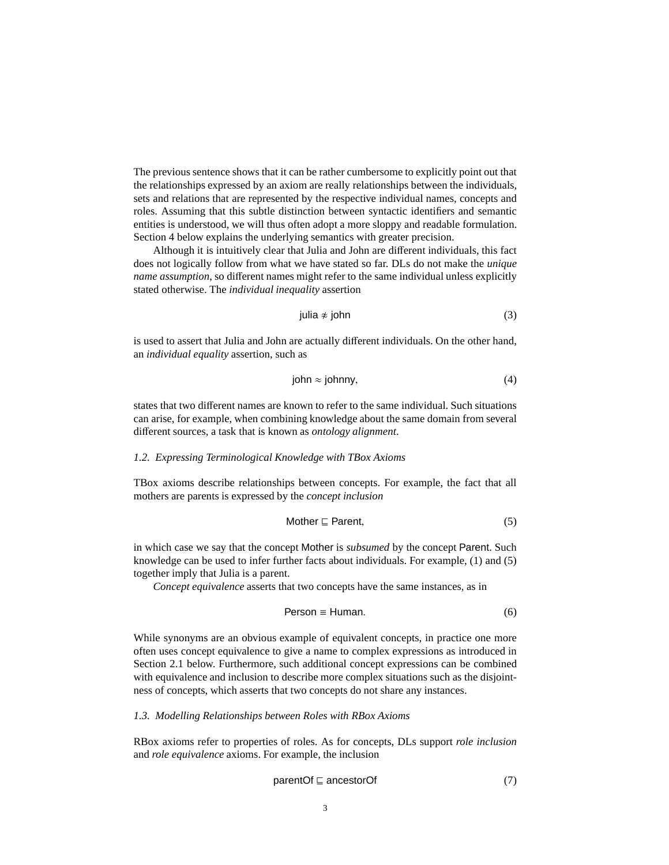The previous sentence shows that it can be rather cumbersome to explicitly point out that the relationships expressed by an axiom are really relationships between the individuals, sets and relations that are represented by the respective individual names, concepts and roles. Assuming that this subtle distinction between syntactic identifiers and semantic entities is understood, we will thus often adopt a more sloppy and readable formulation. Section [4](#page-8-0) below explains the underlying semantics with greater precision.

Although it is intuitively clear that Julia and John are different individuals, this fact does not logically follow from what we have stated so far. DLs do not make the *unique name assumption*, so different names might refer to the same individual unless explicitly stated otherwise. The *individual inequality* assertion

<span id="page-2-3"></span>julia 
$$
\neq
$$
 john (3)

is used to assert that Julia and John are actually different individuals. On the other hand, an *individual equality* assertion, such as

<span id="page-2-4"></span>
$$
john \approx johnny, \tag{4}
$$

states that two different names are known to refer to the same individual. Such situations can arise, for example, when combining knowledge about the same domain from several different sources, a task that is known as *ontology alignment*.

## *1.2. Expressing Terminological Knowledge with TBox Axioms*

TBox axioms describe relationships between concepts. For example, the fact that all mothers are parents is expressed by the *concept inclusion*

<span id="page-2-0"></span>
$$
Mother \sqsubseteq Parent,\tag{5}
$$

in which case we say that the concept Mother is *subsumed* by the concept Parent. Such knowledge can be used to infer further facts about individuals. For example, [\(1\)](#page-1-2) and [\(5\)](#page-2-0) together imply that Julia is a parent.

*Concept equivalence* asserts that two concepts have the same instances, as in

$$
Person \equiv Human. \tag{6}
$$

While synonyms are an obvious example of equivalent concepts, in practice one more often uses concept equivalence to give a name to complex expressions as introduced in Section [2.1](#page-3-1) below. Furthermore, such additional concept expressions can be combined with equivalence and inclusion to describe more complex situations such as the disjointness of concepts, which asserts that two concepts do not share any instances.

## <span id="page-2-2"></span>*1.3. Modelling Relationships between Roles with RBox Axioms*

RBox axioms refer to properties of roles. As for concepts, DLs support *role inclusion* and *role equivalence* axioms. For example, the inclusion

<span id="page-2-1"></span>
$$
parentOf \sqsubseteq ancestorOf
$$
 (7)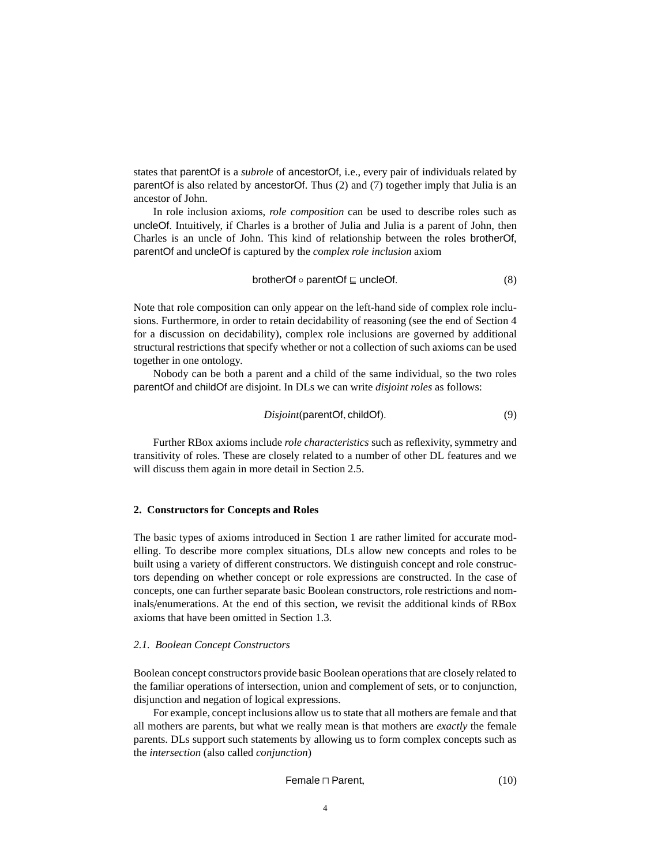states that parentOf is a *subrole* of ancestorOf, i.e., every pair of individuals related by parentOf is also related by ancestorOf. Thus [\(2\)](#page-1-3) and [\(7\)](#page-2-1) together imply that Julia is an ancestor of John.

In role inclusion axioms, *role composition* can be used to describe roles such as uncleOf. Intuitively, if Charles is a brother of Julia and Julia is a parent of John, then Charles is an uncle of John. This kind of relationship between the roles brotherOf, parentOf and uncleOf is captured by the *complex role inclusion* axiom

$$
brotherOf \circ parentOf \sqsubseteq uncleOf.
$$
 (8)

Note that role composition can only appear on the left-hand side of complex role inclusions. Furthermore, in order to retain decidability of reasoning (see the end of Section [4](#page-8-0) for a discussion on decidability), complex role inclusions are governed by additional structural restrictions that specify whether or not a collection of such axioms can be used together in one ontology.

Nobody can be both a parent and a child of the same individual, so the two roles parentOf and childOf are disjoint. In DLs we can write *disjoint roles* as follows:

$$
Disjoint(parentOf, childOf). \t(9)
$$

Further RBox axioms include *role characteristics* such as reflexivity, symmetry and transitivity of roles. These are closely related to a number of other DL features and we will discuss them again in more detail in Section [2.5.](#page-7-1)

## <span id="page-3-0"></span>**2. Constructors for Concepts and Roles**

The basic types of axioms introduced in Section [1](#page-1-0) are rather limited for accurate modelling. To describe more complex situations, DLs allow new concepts and roles to be built using a variety of different constructors. We distinguish concept and role constructors depending on whether concept or role expressions are constructed. In the case of concepts, one can further separate basic Boolean constructors, role restrictions and nominals/enumerations. At the end of this section, we revisit the additional kinds of RBox axioms that have been omitted in Section [1.3.](#page-2-2)

#### <span id="page-3-1"></span>*2.1. Boolean Concept Constructors*

Boolean concept constructors provide basic Boolean operations that are closely related to the familiar operations of intersection, union and complement of sets, or to conjunction, disjunction and negation of logical expressions.

For example, concept inclusions allow us to state that all mothers are female and that all mothers are parents, but what we really mean is that mothers are *exactly* the female parents. DLs support such statements by allowing us to form complex concepts such as the *intersection* (also called *conjunction*)

Female ⊓ Parent, (10)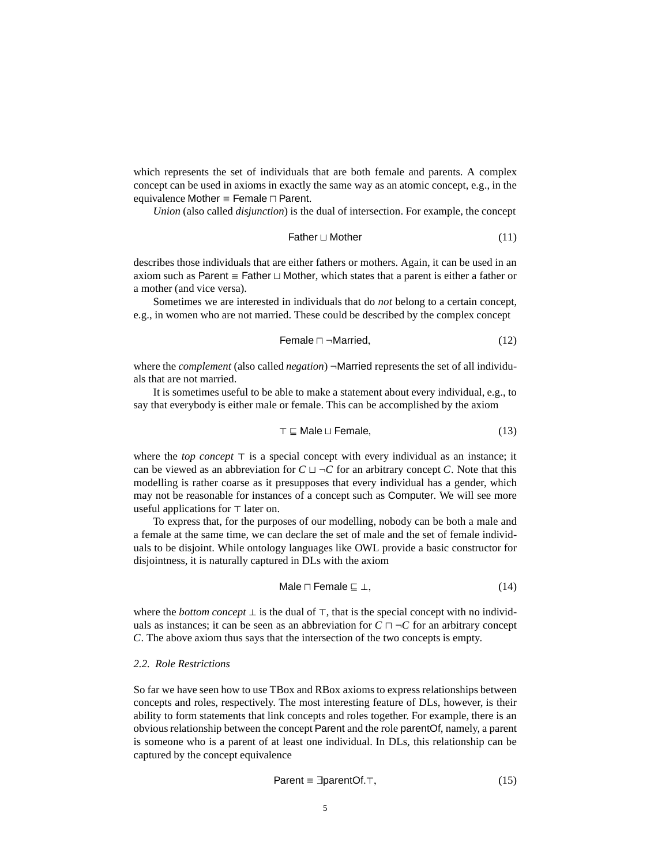which represents the set of individuals that are both female and parents. A complex concept can be used in axioms in exactly the same way as an atomic concept, e.g., in the equivalence Mother ≡ Female ⊓ Parent.

*Union* (also called *disjunction*) is the dual of intersection. For example, the concept

$$
Father \sqcup Mother
$$
 (11)

describes those individuals that are either fathers or mothers. Again, it can be used in an axiom such as Parent ≡ Father ⊔ Mother, which states that a parent is either a father or a mother (and vice versa).

Sometimes we are interested in individuals that do *not* belong to a certain concept, e.g., in women who are not married. These could be described by the complex concept

$$
Female \sqcap \neg Married,
$$
\n(12)

where the *complement* (also called *negation*) ¬Married represents the set of all individuals that are not married.

It is sometimes useful to be able to make a statement about every individual, e.g., to say that everybody is either male or female. This can be accomplished by the axiom

$$
\top \sqsubseteq \text{Male} \sqcup \text{Female}, \tag{13}
$$

where the *top concept* ⊤ is a special concept with every individual as an instance; it can be viewed as an abbreviation for  $C \sqcup \neg C$  for an arbitrary concept *C*. Note that this modelling is rather coarse as it presupposes that every individual has a gender, which may not be reasonable for instances of a concept such as Computer. We will see more useful applications for ⊤ later on.

To express that, for the purposes of our modelling, nobody can be both a male and a female at the same time, we can declare the set of male and the set of female individuals to be disjoint. While ontology languages like OWL provide a basic constructor for disjointness, it is naturally captured in DLs with the axiom

$$
Male \sqcap Female \sqsubseteq \bot,
$$
\n(14)

where the *bottom concept* ⊥ is the dual of ⊤, that is the special concept with no individuals as instances; it can be seen as an abbreviation for  $C \sqcap \neg C$  for an arbitrary concept *C*. The above axiom thus says that the intersection of the two concepts is empty.

## <span id="page-4-0"></span>*2.2. Role Restrictions*

So far we have seen how to use TBox and RBox axioms to express relationships between concepts and roles, respectively. The most interesting feature of DLs, however, is their ability to form statements that link concepts and roles together. For example, there is an obvious relationship between the concept Parent and the role parentOf, namely, a parent is someone who is a parent of at least one individual. In DLs, this relationship can be captured by the concept equivalence

$$
Parent \equiv \exists parentOf. \top,\tag{15}
$$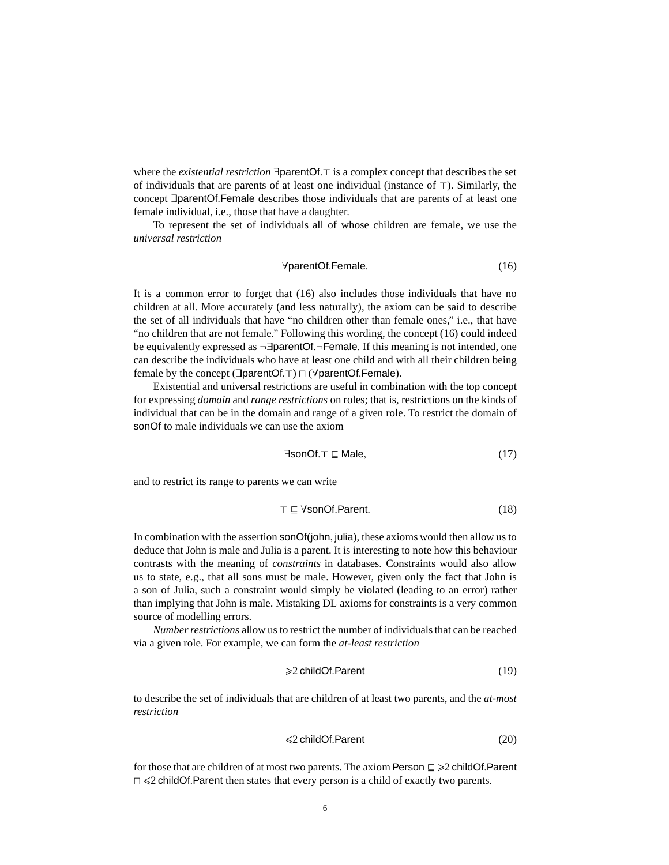where the *existential restriction* ∃parentOf.⊤ is a complex concept that describes the set of individuals that are parents of at least one individual (instance of ⊤). Similarly, the concept ∃parentOf.Female describes those individuals that are parents of at least one female individual, i.e., those that have a daughter.

To represent the set of individuals all of whose children are female, we use the *universal restriction*

<span id="page-5-0"></span>
$$
\forall parentOf. Female. \tag{16}
$$

It is a common error to forget that [\(16\)](#page-5-0) also includes those individuals that have no children at all. More accurately (and less naturally), the axiom can be said to describe the set of all individuals that have "no children other than female ones," i.e., that have "no children that are not female." Following this wording, the concept [\(16\)](#page-5-0) could indeed be equivalently expressed as ¬∃parentOf.¬Female. If this meaning is not intended, one can describe the individuals who have at least one child and with all their children being female by the concept (∃parentOf.⊤) ⊓ (∀parentOf.Female).

Existential and universal restrictions are useful in combination with the top concept for expressing *domain* and *range restrictions* on roles; that is, restrictions on the kinds of individual that can be in the domain and range of a given role. To restrict the domain of sonOf to male individuals we can use the axiom

$$
\exists \text{sonOf.} \top \sqsubseteq \text{Male}, \tag{17}
$$

and to restrict its range to parents we can write

$$
\top \sqsubseteq \text{YsonOf.Parent.} \tag{18}
$$

In combination with the assertion sonOf(john, julia), these axioms would then allow us to deduce that John is male and Julia is a parent. It is interesting to note how this behaviour contrasts with the meaning of *constraints* in databases. Constraints would also allow us to state, e.g., that all sons must be male. However, given only the fact that John is a son of Julia, such a constraint would simply be violated (leading to an error) rather than implying that John is male. Mistaking DL axioms for constraints is a very common source of modelling errors.

*Number restrictions* allow us to restrict the number of individuals that can be reached via a given role. For example, we can form the *at-least restriction*

$$
\geq 2 \text{ childOf.Parent} \tag{19}
$$

to describe the set of individuals that are children of at least two parents, and the *at-most restriction*

$$
\leq 2 \text{ childOf.Parent} \tag{20}
$$

for those that are children of at most two parents. The axiom Person  $\subseteq \ge 2$  childOf.Parent ⊓ 62 childOf.Parent then states that every person is a child of exactly two parents.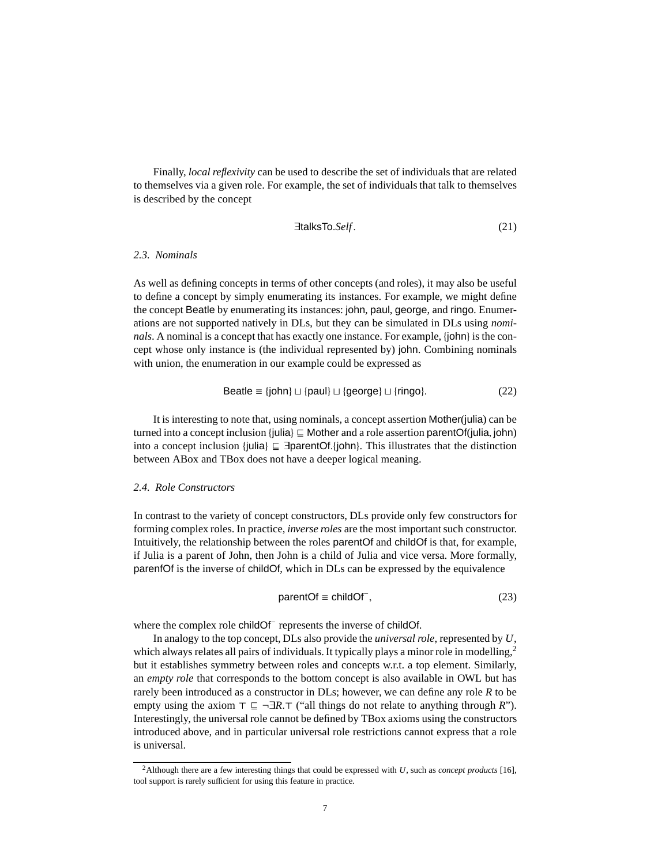Finally, *local reflexivity* can be used to describe the set of individuals that are related to themselves via a given role. For example, the set of individuals that talk to themselves is described by the concept

$$
\exists \mathsf{talksTo}.\mathsf{Self}.\tag{21}
$$

# *2.3. Nominals*

As well as defining concepts in terms of other concepts (and roles), it may also be useful to define a concept by simply enumerating its instances. For example, we might define the concept Beatle by enumerating its instances: john, paul, george, and ringo. Enumerations are not supported natively in DLs, but they can be simulated in DLs using *nominals*. A nominal is a concept that has exactly one instance. For example, {john} is the concept whose only instance is (the individual represented by) john. Combining nominals with union, the enumeration in our example could be expressed as

$$
Beatle \equiv \{john\} \sqcup \{paul\} \sqcup \{george\} \sqcup \{ring]
$$

It is interesting to note that, using nominals, a concept assertion Mother(julia) can be turned into a concept inclusion {julia} ⊑ Mother and a role assertion parentOf(julia, john) into a concept inclusion {julia} ⊑ ∃parentOf.{john}. This illustrates that the distinction between ABox and TBox does not have a deeper logical meaning.

# <span id="page-6-1"></span>*2.4. Role Constructors*

In contrast to the variety of concept constructors, DLs provide only few constructors for forming complex roles. In practice, *inverse roles* are the most important such constructor. Intuitively, the relationship between the roles parentOf and childOf is that, for example, if Julia is a parent of John, then John is a child of Julia and vice versa. More formally, parenfOf is the inverse of childOf, which in DLs can be expressed by the equivalence

$$
parentOf \equiv childOf^{-}, \tag{23}
$$

where the complex role childOf<sup>-</sup> represents the inverse of childOf.

In analogy to the top concept, DLs also provide the *universal role*, represented by *U*, which always relates all pairs of individuals. It typically plays a minor role in modelling, $\frac{2}{3}$  $\frac{2}{3}$  $\frac{2}{3}$ but it establishes symmetry between roles and concepts w.r.t. a top element. Similarly, an *empty role* that corresponds to the bottom concept is also available in OWL but has rarely been introduced as a constructor in DLs; however, we can define any role *R* to be empty using the axiom ⊤ ⊑ ¬∃*R*.⊤ ("all things do not relate to anything through *R*"). Interestingly, the universal role cannot be defined by TBox axioms using the constructors introduced above, and in particular universal role restrictions cannot express that a role is universal.

<span id="page-6-0"></span><sup>2</sup>Although there are a few interesting things that could be expressed with *U*, such as *concept products* [\[16\]](#page-16-0), tool support is rarely sufficient for using this feature in practice.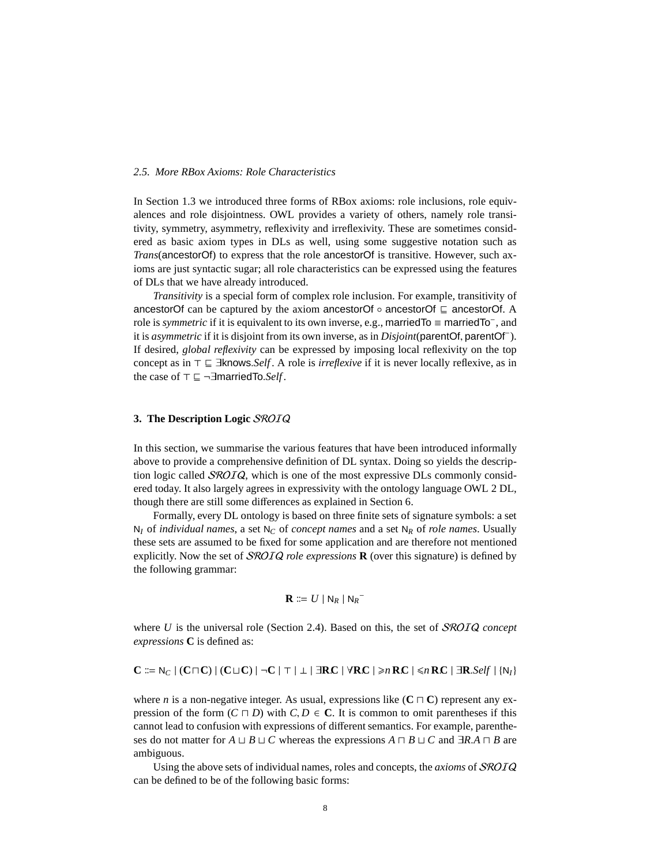## <span id="page-7-1"></span>*2.5. More RBox Axioms: Role Characteristics*

In Section [1.3](#page-2-2) we introduced three forms of RBox axioms: role inclusions, role equivalences and role disjointness. OWL provides a variety of others, namely role transitivity, symmetry, asymmetry, reflexivity and irreflexivity. These are sometimes considered as basic axiom types in DLs as well, using some suggestive notation such as *Trans*(ancestorOf) to express that the role ancestorOf is transitive. However, such axioms are just syntactic sugar; all role characteristics can be expressed using the features of DLs that we have already introduced.

*Transitivity* is a special form of complex role inclusion. For example, transitivity of ancestorOf can be captured by the axiom ancestorOf  $\circ$  ancestorOf ⊑ ancestorOf. A role is *symmetric* if it is equivalent to its own inverse, e.g., marriedTo ≡ marriedTo<sup>−</sup> , and it is *asymmetric* if it is disjoint from its own inverse, as in *Disjoint*(parentOf, parentOf<sup>−</sup> ). If desired, *global reflexivity* can be expressed by imposing local reflexivity on the top concept as in ⊤ ⊑ ∃knows.*Self* . A role is *irreflexive* if it is never locally reflexive, as in the case of ⊤ ⊑ ¬∃marriedTo.*Self*.

# <span id="page-7-0"></span>**3. The Description Logic** SROIQ

In this section, we summarise the various features that have been introduced informally above to provide a comprehensive definition of DL syntax. Doing so yields the description logic called  $SROIQ$ , which is one of the most expressive DLs commonly considered today. It also largely agrees in expressivity with the ontology language OWL 2 DL, though there are still some differences as explained in Section [6.](#page-13-0)

Formally, every DL ontology is based on three finite sets of signature symbols: a set  $N_I$  of *individual names*, a set  $N_C$  of *concept names* and a set  $N_R$  of *role names*. Usually these sets are assumed to be fixed for some application and are therefore not mentioned explicitly. Now the set of SROIQ *role expressions* **R** (over this signature) is defined by the following grammar:

$$
\mathbf{R} \coloneqq U \mid \mathsf{N}_R \mid \mathsf{N}_R^-
$$

where *U* is the universal role (Section [2.4\)](#page-6-1). Based on this, the set of *SROIQ concept expressions* **C** is defined as:

$$
C \Coloneqq \mathsf{N}_C \mid (C \sqcap C) \mid (C \sqcup C) \mid \neg C \mid \top \mid \bot \mid \exists RC \mid \forall RC \mid \geq n RC \mid \leq n RC \mid \exists R.\mathit{Self} \mid \{\mathsf{N}_I\}
$$

where *n* is a non-negative integer. As usual, expressions like ( $C \sqcap C$ ) represent any expression of the form  $(C \sqcap D)$  with  $C, D \in \mathbb{C}$ . It is common to omit parentheses if this cannot lead to confusion with expressions of different semantics. For example, parentheses do not matter for *A*  $\sqcup$  *B*  $\sqcup$  *C* whereas the expressions *A*  $\sqcap$  *B*  $\sqcup$  *C* and  $\exists$ *R.A*  $\sqcap$  *B* are ambiguous.

Using the above sets of individual names, roles and concepts, the *axioms* of SROIQ can be defined to be of the following basic forms: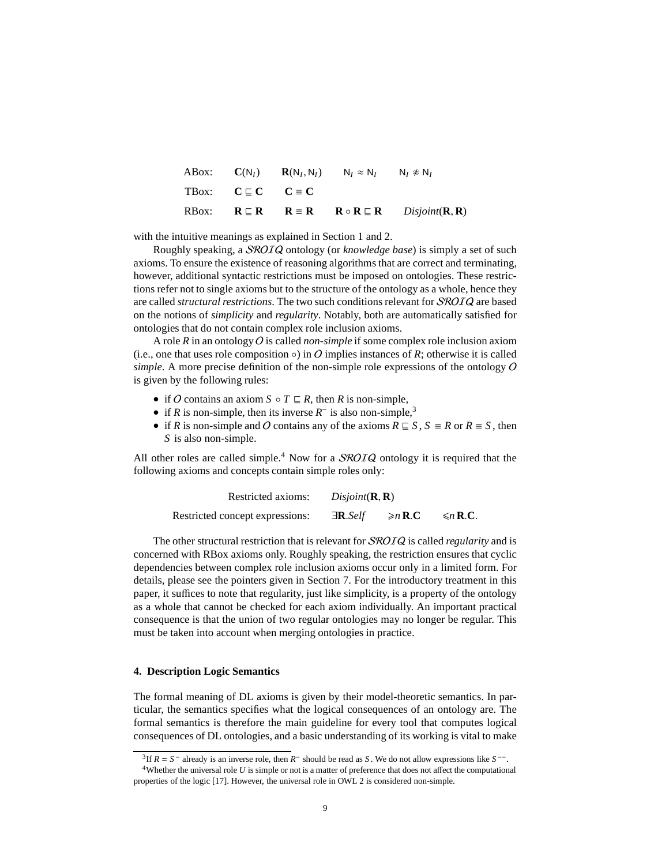|                                    | ABox: $C(N_I)$ $R(N_I, N_I)$ $N_I \approx N_I$ $N_I \not\approx N_I$ |                                                                                                                                                              |
|------------------------------------|----------------------------------------------------------------------|--------------------------------------------------------------------------------------------------------------------------------------------------------------|
| TBox: $C \sqsubset C$ $C \equiv C$ |                                                                      |                                                                                                                                                              |
|                                    |                                                                      | RBox: $\mathbf{R} \subseteq \mathbf{R}$ $\mathbf{R} \equiv \mathbf{R}$ $\mathbf{R} \circ \mathbf{R} \subseteq \mathbf{R}$ $Disjoint(\mathbf{R}, \mathbf{R})$ |

with the intuitive meanings as explained in Section [1](#page-1-0) and [2.](#page-3-0)

Roughly speaking, a SROIQ ontology (or *knowledge base*) is simply a set of such axioms. To ensure the existence of reasoning algorithms that are correct and terminating, however, additional syntactic restrictions must be imposed on ontologies. These restrictions refer not to single axioms but to the structure of the ontology as a whole, hence they are called *structural restrictions*. The two such conditions relevant for SROIQ are based on the notions of *simplicity* and *regularity*. Notably, both are automatically satisfied for ontologies that do not contain complex role inclusion axioms.

A role *R* in an ontology O is called *non-simple* if some complex role inclusion axiom (i.e., one that uses role composition  $\circ$ ) in O implies instances of R; otherwise it is called *simple*. A more precise definition of the non-simple role expressions of the ontology O is given by the following rules:

- if O contains an axiom  $S \circ T \sqsubseteq R$ , then R is non-simple,
- if *R* is non-simple, then its inverse  $R^-$  is also non-simple,<sup>[3](#page-8-1)</sup>
- if *R* is non-simple and *O* contains any of the axioms  $R \subseteq S$ ,  $S \equiv R$  or  $R \equiv S$ , then *S* is also non-simple.

All other roles are called simple.<sup>[4](#page-8-2)</sup> Now for a *SROIQ* ontology it is required that the following axioms and concepts contain simple roles only:

| Restricted axioms:              | Disjoint(R, R)                   |              |               |
|---------------------------------|----------------------------------|--------------|---------------|
| Restricted concept expressions: | $\exists$ <b>R</b> . <i>Self</i> | $\geq n$ R.C | $\leq n$ R.C. |

The other structural restriction that is relevant for SROIQ is called *regularity* and is concerned with RBox axioms only. Roughly speaking, the restriction ensures that cyclic dependencies between complex role inclusion axioms occur only in a limited form. For details, please see the pointers given in Section [7.](#page-14-0) For the introductory treatment in this paper, it suffices to note that regularity, just like simplicity, is a property of the ontology as a whole that cannot be checked for each axiom individually. An important practical consequence is that the union of two regular ontologies may no longer be regular. This must be taken into account when merging ontologies in practice.

## <span id="page-8-0"></span>**4. Description Logic Semantics**

The formal meaning of DL axioms is given by their model-theoretic semantics. In particular, the semantics specifies what the logical consequences of an ontology are. The formal semantics is therefore the main guideline for every tool that computes logical consequences of DL ontologies, and a basic understanding of its working is vital to make

<span id="page-8-1"></span><sup>&</sup>lt;sup>3</sup>If  $R = S^-$  already is an inverse role, then  $R^-$  should be read as *S*. We do not allow expressions like  $S^{--}$ .

<span id="page-8-2"></span> $4$ Whether the universal role  $U$  is simple or not is a matter of preference that does not affect the computational properties of the logic [\[17\]](#page-16-1). However, the universal role in OWL 2 is considered non-simple.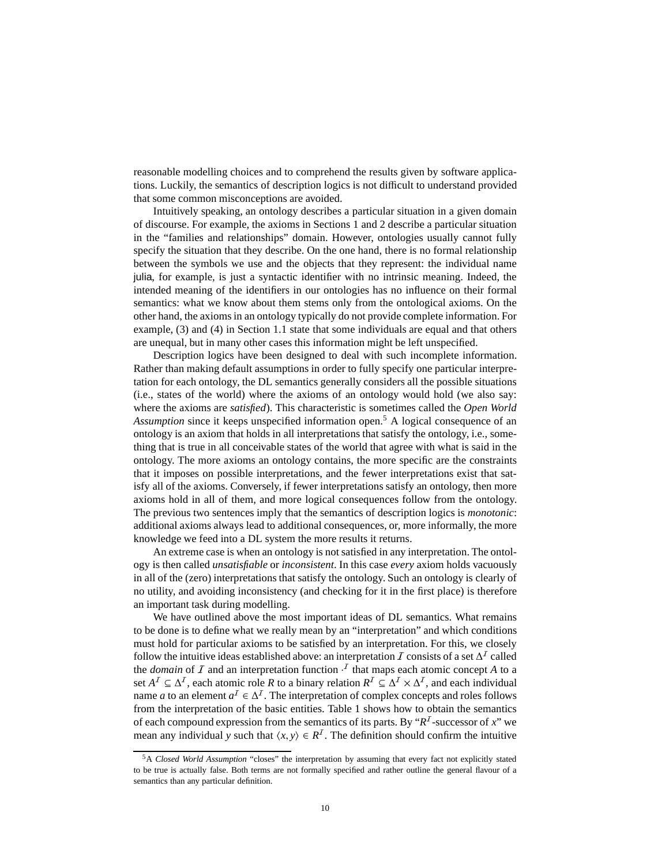reasonable modelling choices and to comprehend the results given by software applications. Luckily, the semantics of description logics is not difficult to understand provided that some common misconceptions are avoided.

Intuitively speaking, an ontology describes a particular situation in a given domain of discourse. For example, the axioms in Sections [1](#page-1-0) and [2](#page-3-0) describe a particular situation in the "families and relationships" domain. However, ontologies usually cannot fully specify the situation that they describe. On the one hand, there is no formal relationship between the symbols we use and the objects that they represent: the individual name julia, for example, is just a syntactic identifier with no intrinsic meaning. Indeed, the intended meaning of the identifiers in our ontologies has no influence on their formal semantics: what we know about them stems only from the ontological axioms. On the other hand, the axioms in an ontology typically do not provide complete information. For example, [\(3\)](#page-2-3) and [\(4\)](#page-2-4) in Section [1.1](#page-1-4) state that some individuals are equal and that others are unequal, but in many other cases this information might be left unspecified.

Description logics have been designed to deal with such incomplete information. Rather than making default assumptions in order to fully specify one particular interpretation for each ontology, the DL semantics generally considers all the possible situations (i.e., states of the world) where the axioms of an ontology would hold (we also say: where the axioms are *satisfied*). This characteristic is sometimes called the *Open World Assumption* since it keeps unspecified information open.[5](#page-9-0) A logical consequence of an ontology is an axiom that holds in all interpretations that satisfy the ontology, i.e., something that is true in all conceivable states of the world that agree with what is said in the ontology. The more axioms an ontology contains, the more specific are the constraints that it imposes on possible interpretations, and the fewer interpretations exist that satisfy all of the axioms. Conversely, if fewer interpretations satisfy an ontology, then more axioms hold in all of them, and more logical consequences follow from the ontology. The previous two sentences imply that the semantics of description logics is *monotonic*: additional axioms always lead to additional consequences, or, more informally, the more knowledge we feed into a DL system the more results it returns.

An extreme case is when an ontology is not satisfied in any interpretation. The ontology is then called *unsatisfiable* or *inconsistent*. In this case *every* axiom holds vacuously in all of the (zero) interpretations that satisfy the ontology. Such an ontology is clearly of no utility, and avoiding inconsistency (and checking for it in the first place) is therefore an important task during modelling.

We have outlined above the most important ideas of DL semantics. What remains to be done is to define what we really mean by an "interpretation" and which conditions must hold for particular axioms to be satisfied by an interpretation. For this, we closely follow the intuitive ideas established above: an interpretation  $I$  consists of a set  $\Delta^I$  called the *domain* of  $I$  and an interpretation function  $\cdot$ <sup> $I$ </sup> that maps each atomic concept  $A$  to a set  $A^I \subseteq \Delta^I$ , each atomic role R to a binary relation  $R^I \subseteq \Delta^I \times \Delta^I$ , and each individual name *a* to an element  $a^I \in \Delta^I$ . The interpretation of complex concepts and roles follows from the interpretation of the basic entities. Table [1](#page-10-0) shows how to obtain the semantics of each compound expression from the semantics of its parts. By " $R<sup>T</sup>$ -successor of *x*" we mean any individual *y* such that  $\langle x, y \rangle \in R^{\mathcal{I}}$ . The definition should confirm the intuitive

<span id="page-9-0"></span><sup>5</sup>A *Closed World Assumption* "closes" the interpretation by assuming that every fact not explicitly stated to be true is actually false. Both terms are not formally specified and rather outline the general flavour of a semantics than any particular definition.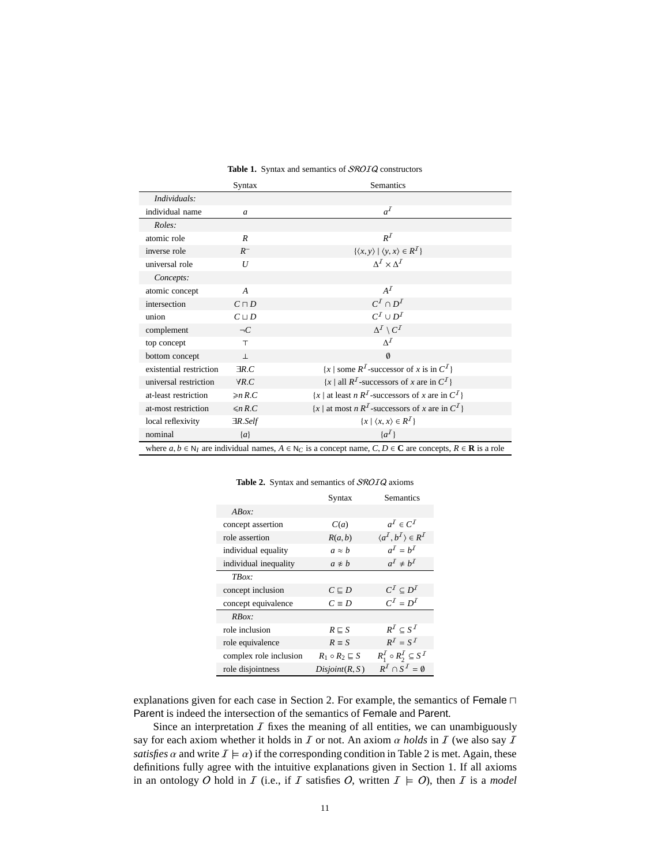|                                                                                                                                            | Syntax                                                                                                             | Semantics                                                                               |  |  |
|--------------------------------------------------------------------------------------------------------------------------------------------|--------------------------------------------------------------------------------------------------------------------|-----------------------------------------------------------------------------------------|--|--|
| Individuals:                                                                                                                               |                                                                                                                    |                                                                                         |  |  |
| individual name                                                                                                                            | $\mathfrak a$                                                                                                      | $a^I$                                                                                   |  |  |
| Roles:                                                                                                                                     |                                                                                                                    |                                                                                         |  |  |
| atomic role                                                                                                                                | R                                                                                                                  | $R^I$                                                                                   |  |  |
| inverse role                                                                                                                               | $R^-$                                                                                                              | $\{\langle x, y \rangle \mid \langle y, x \rangle \in R^I\}$                            |  |  |
| universal role                                                                                                                             | U                                                                                                                  | $\Delta^I \times \Delta^I$                                                              |  |  |
| Concepts:                                                                                                                                  |                                                                                                                    |                                                                                         |  |  |
| atomic concept                                                                                                                             | $\overline{A}$                                                                                                     | $A^I$                                                                                   |  |  |
| intersection                                                                                                                               | $C \sqcap D$                                                                                                       | $C^I \cap D^I$                                                                          |  |  |
| union                                                                                                                                      | $C^I \cup D^I$<br>$C \sqcup D$                                                                                     |                                                                                         |  |  |
| complement                                                                                                                                 | $\Delta^I \setminus C^I$<br>$\neg C$                                                                               |                                                                                         |  |  |
| top concept                                                                                                                                | $\top$                                                                                                             | $\Lambda^I$                                                                             |  |  |
| bottom concept<br>$\perp$                                                                                                                  |                                                                                                                    | $\emptyset$                                                                             |  |  |
| existential restriction                                                                                                                    | ${x \mid$ some $R^I$ -successor of x is in $C^I$<br>$\exists R.C$                                                  |                                                                                         |  |  |
| universal restriction                                                                                                                      | $\{x \mid \text{all } R^{\mathcal{I}}\text{-successors of } x \text{ are in } C^{\mathcal{I}}\}\$<br>$\forall R.C$ |                                                                                         |  |  |
| at-least restriction                                                                                                                       | $\geq n R.C$                                                                                                       | $\{x \mid \text{at least } n \in \mathbb{R}^I\}$ -successors of x are in $\mathbb{C}^I$ |  |  |
| at-most restriction                                                                                                                        | $\leq n R.C$                                                                                                       | $\{x \mid \text{at most } n \, R^I\text{-successors of } x \text{ are in } C^I\}$       |  |  |
| local reflexivity                                                                                                                          | $\exists R. Self$                                                                                                  | $\{x \mid \langle x, x \rangle \in R^{\mathcal{I}}\}\$                                  |  |  |
| nominal                                                                                                                                    | $\{a\}$                                                                                                            | $\{a^I\}$                                                                               |  |  |
| where $a, b \in N_I$ are individual names, $A \in N_C$ is a concept name, $C, D \in \mathbb{C}$ are concepts, $R \in \mathbb{R}$ is a role |                                                                                                                    |                                                                                         |  |  |

#### <span id="page-10-0"></span>Table 1. Syntax and semantics of SROIQ constructors

|                        | Syntax                        | Semantics                          |
|------------------------|-------------------------------|------------------------------------|
| ABox                   |                               |                                    |
| concept assertion      | C(a)                          | $a^I \in C^I$                      |
| role assertion         | R(a, b)                       | $\langle a^I, b^I \rangle \in R^I$ |
| individual equality    | $a \approx b$                 | $a^I = b^I$                        |
| individual inequality  | $a * b$                       | $a^I \neq b^I$                     |
| TBox:                  |                               |                                    |
| concept inclusion      | $C \sqsubset D$               | $C^I \subseteq D^I$                |
| concept equivalence    | $C \equiv D$                  | $C^I = D^I$                        |
| RBox                   |                               |                                    |
| role inclusion         | $R \sqsubseteq S$             | $R^I \subset S^I$                  |
| role equivalence       | $R \equiv S$                  | $R^I = S^I$                        |
| complex role inclusion | $R_1 \circ R_2 \sqsubseteq S$ | $R_1^I \circ R_2^I \subseteq S^I$  |
| role disjointness      | Disjoint(R, S)                | $R^I \cap S^I = \emptyset$         |

<span id="page-10-1"></span>Table 2. Syntax and semantics of SROIQ axioms

explanations given for each case in Section [2.](#page-3-0) For example, the semantics of Female ⊓ Parent is indeed the intersection of the semantics of Female and Parent.

Since an interpretation  $I$  fixes the meaning of all entities, we can unambiguously say for each axiom whether it holds in  $I$  or not. An axiom  $\alpha$  holds in  $I$  (we also say  $I$ *satisfies*  $\alpha$  and write  $I \models \alpha$ ) if the corresponding condition in Table [2](#page-10-1) is met. Again, these definitions fully agree with the intuitive explanations given in Section [1.](#page-1-0) If all axioms in an ontology O hold in I (i.e., if I satisfies O, written  $I \models O$ ), then I is a *model*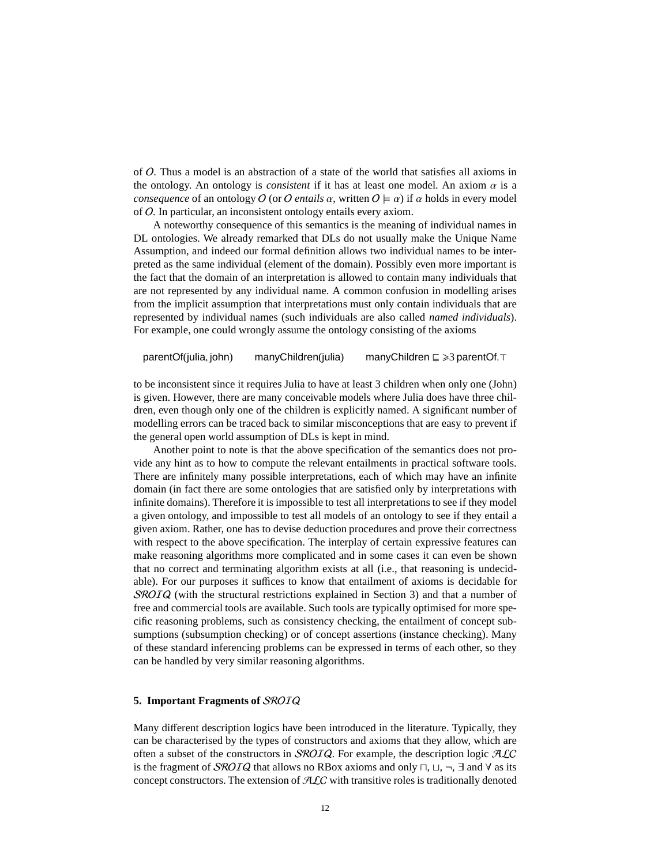of O. Thus a model is an abstraction of a state of the world that satisfies all axioms in the ontology. An ontology is *consistent* if it has at least one model. An axiom  $\alpha$  is a *consequence* of an ontology O (or O *entails*  $\alpha$ , written  $O \models \alpha$ ) if  $\alpha$  holds in every model of O. In particular, an inconsistent ontology entails every axiom.

A noteworthy consequence of this semantics is the meaning of individual names in DL ontologies. We already remarked that DLs do not usually make the Unique Name Assumption, and indeed our formal definition allows two individual names to be interpreted as the same individual (element of the domain). Possibly even more important is the fact that the domain of an interpretation is allowed to contain many individuals that are not represented by any individual name. A common confusion in modelling arises from the implicit assumption that interpretations must only contain individuals that are represented by individual names (such individuals are also called *named individuals*). For example, one could wrongly assume the ontology consisting of the axioms

parentOf(julia, john) manyChildren(julia) manyChildren ⊑ >3 parentOf.⊤

to be inconsistent since it requires Julia to have at least 3 children when only one (John) is given. However, there are many conceivable models where Julia does have three children, even though only one of the children is explicitly named. A significant number of modelling errors can be traced back to similar misconceptions that are easy to prevent if the general open world assumption of DLs is kept in mind.

Another point to note is that the above specification of the semantics does not provide any hint as to how to compute the relevant entailments in practical software tools. There are infinitely many possible interpretations, each of which may have an infinite domain (in fact there are some ontologies that are satisfied only by interpretations with infinite domains). Therefore it is impossible to test all interpretations to see if they model a given ontology, and impossible to test all models of an ontology to see if they entail a given axiom. Rather, one has to devise deduction procedures and prove their correctness with respect to the above specification. The interplay of certain expressive features can make reasoning algorithms more complicated and in some cases it can even be shown that no correct and terminating algorithm exists at all (i.e., that reasoning is undecidable). For our purposes it suffices to know that entailment of axioms is decidable for SROIQ (with the structural restrictions explained in Section [3\)](#page-7-0) and that a number of free and commercial tools are available. Such tools are typically optimised for more specific reasoning problems, such as consistency checking, the entailment of concept subsumptions (subsumption checking) or of concept assertions (instance checking). Many of these standard inferencing problems can be expressed in terms of each other, so they can be handled by very similar reasoning algorithms.

# <span id="page-11-0"></span>**5. Important Fragments of** SROIQ

Many different description logics have been introduced in the literature. Typically, they can be characterised by the types of constructors and axioms that they allow, which are often a subset of the constructors in *SROIQ*. For example, the description logic  $\mathcal{A}\mathcal{L}C$ is the fragment of SROIQ that allows no RBox axioms and only  $\sqcap$ ,  $\sqcup$ ,  $\neg$ ,  $\exists$  and  $\forall$  as its concept constructors. The extension of  $\mathcal{ALC}$  with transitive roles is traditionally denoted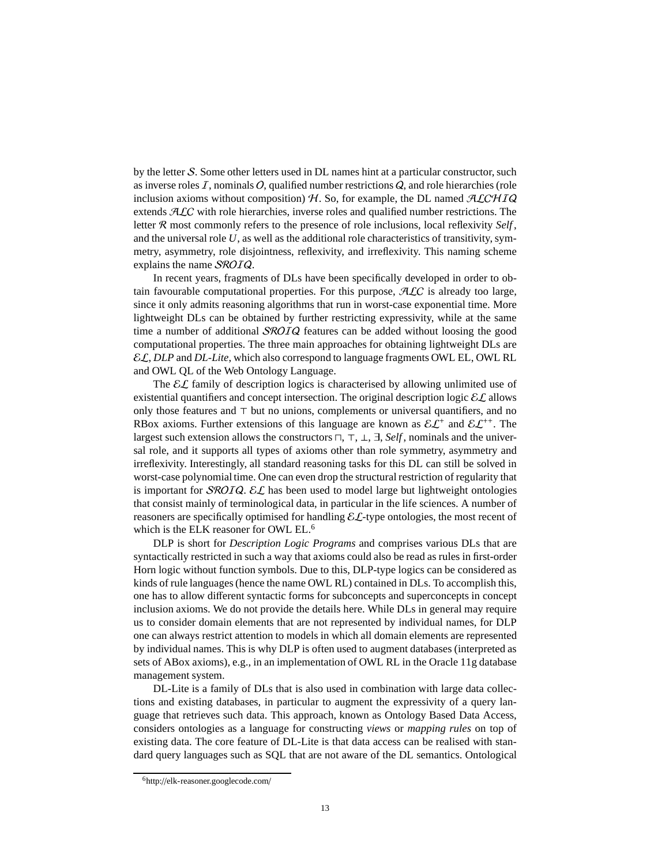by the letter  $S$ . Some other letters used in DL names hint at a particular constructor, such as inverse roles  $I$ , nominals  $O$ , qualified number restrictions  $Q$ , and role hierarchies (role inclusion axioms without composition)  $H$ . So, for example, the DL named  $\mathcal{ALCHIQ}$ extends  $ALC$  with role hierarchies, inverse roles and qualified number restrictions. The letter R most commonly refers to the presence of role inclusions, local reflexivity *Self* , and the universal role *U*, as well as the additional role characteristics of transitivity, symmetry, asymmetry, role disjointness, reflexivity, and irreflexivity. This naming scheme explains the name SROIQ.

In recent years, fragments of DLs have been specifically developed in order to obtain favourable computational properties. For this purpose,  $\mathcal{A}\mathcal{L}C$  is already too large, since it only admits reasoning algorithms that run in worst-case exponential time. More lightweight DLs can be obtained by further restricting expressivity, while at the same time a number of additional *SROIQ* features can be added without loosing the good computational properties. The three main approaches for obtaining lightweight DLs are EL, *DLP* and *DL-Lite*, which also correspond to language fragments OWL EL, OWL RL and OWL QL of the Web Ontology Language.

The  $\mathcal{EL}$  family of description logics is characterised by allowing unlimited use of existential quantifiers and concept intersection. The original description logic  $\mathcal{EL}$  allows only those features and ⊤ but no unions, complements or universal quantifiers, and no RBox axioms. Further extensions of this language are known as  $\mathcal{EL}^+$  and  $\mathcal{EL}^{++}$ . The largest such extension allows the constructors ⊓, ⊤, ⊥, ∃, *Self* , nominals and the universal role, and it supports all types of axioms other than role symmetry, asymmetry and irreflexivity. Interestingly, all standard reasoning tasks for this DL can still be solved in worst-case polynomial time. One can even drop the structural restriction of regularity that is important for SROIQ. EL has been used to model large but lightweight ontologies that consist mainly of terminological data, in particular in the life sciences. A number of reasoners are specifically optimised for handling  $\mathcal{E}\mathcal{L}$ -type ontologies, the most recent of which is the ELK reasoner for OWL EL.[6](#page-12-0)

DLP is short for *Description Logic Programs* and comprises various DLs that are syntactically restricted in such a way that axioms could also be read as rules in first-order Horn logic without function symbols. Due to this, DLP-type logics can be considered as kinds of rule languages (hence the name OWL RL) contained in DLs. To accomplish this, one has to allow different syntactic forms for subconcepts and superconcepts in concept inclusion axioms. We do not provide the details here. While DLs in general may require us to consider domain elements that are not represented by individual names, for DLP one can always restrict attention to models in which all domain elements are represented by individual names. This is why DLP is often used to augment databases (interpreted as sets of ABox axioms), e.g., in an implementation of OWL RL in the Oracle 11g database management system.

DL-Lite is a family of DLs that is also used in combination with large data collections and existing databases, in particular to augment the expressivity of a query language that retrieves such data. This approach, known as Ontology Based Data Access, considers ontologies as a language for constructing *views* or *mapping rules* on top of existing data. The core feature of DL-Lite is that data access can be realised with standard query languages such as SQL that are not aware of the DL semantics. Ontological

<span id="page-12-0"></span><sup>6</sup>http://[elk-reasoner.googlecode.com](http://elk-reasoner.googlecode.com/)/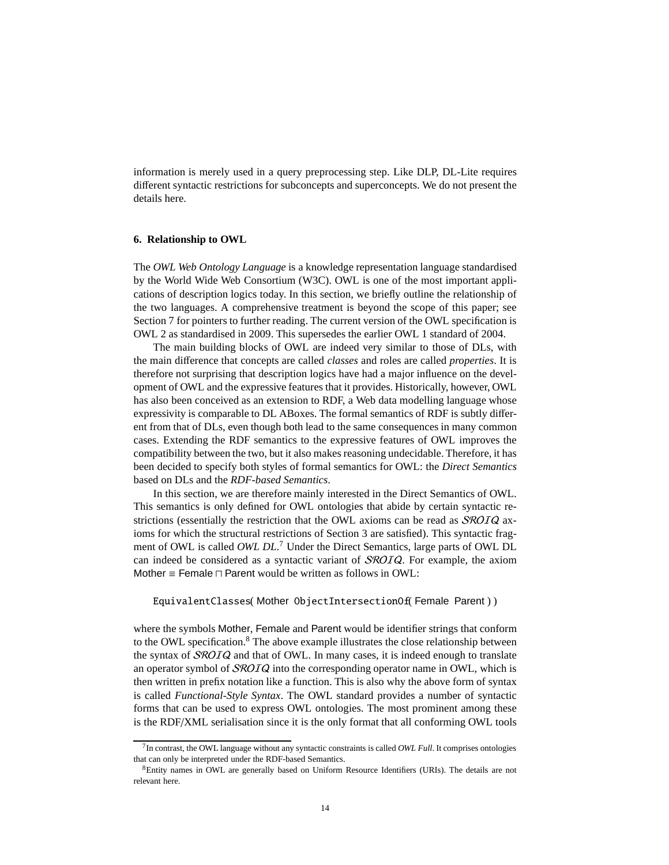information is merely used in a query preprocessing step. Like DLP, DL-Lite requires different syntactic restrictions for subconcepts and superconcepts. We do not present the details here.

# <span id="page-13-0"></span>**6. Relationship to OWL**

The *OWL Web Ontology Language* is a knowledge representation language standardised by the World Wide Web Consortium (W3C). OWL is one of the most important applications of description logics today. In this section, we briefly outline the relationship of the two languages. A comprehensive treatment is beyond the scope of this paper; see Section [7](#page-14-0) for pointers to further reading. The current version of the OWL specification is OWL 2 as standardised in 2009. This supersedes the earlier OWL 1 standard of 2004.

The main building blocks of OWL are indeed very similar to those of DLs, with the main difference that concepts are called *classes* and roles are called *properties*. It is therefore not surprising that description logics have had a major influence on the development of OWL and the expressive features that it provides. Historically, however, OWL has also been conceived as an extension to RDF, a Web data modelling language whose expressivity is comparable to DL ABoxes. The formal semantics of RDF is subtly different from that of DLs, even though both lead to the same consequences in many common cases. Extending the RDF semantics to the expressive features of OWL improves the compatibility between the two, but it also makes reasoning undecidable. Therefore, it has been decided to specify both styles of formal semantics for OWL: the *Direct Semantics* based on DLs and the *RDF-based Semantics*.

In this section, we are therefore mainly interested in the Direct Semantics of OWL. This semantics is only defined for OWL ontologies that abide by certain syntactic restrictions (essentially the restriction that the OWL axioms can be read as  $\mathcal{SRO}IQ$  axioms for which the structural restrictions of Section [3](#page-7-0) are satisfied). This syntactic fragment of OWL is called *OWL DL*. [7](#page-13-1) Under the Direct Semantics, large parts of OWL DL can indeed be considered as a syntactic variant of SROIQ. For example, the axiom Mother ≡ Female ⊓ Parent would be written as follows in OWL:

EquivalentClasses( Mother ObjectIntersectionOf( Female Parent ) )

where the symbols Mother, Female and Parent would be identifier strings that conform to the OWL specification. $8$  The above example illustrates the close relationship between the syntax of  $SROIQ$  and that of OWL. In many cases, it is indeed enough to translate an operator symbol of  $\mathcal{SR}OIQ$  into the corresponding operator name in OWL, which is then written in prefix notation like a function. This is also why the above form of syntax is called *Functional-Style Syntax*. The OWL standard provides a number of syntactic forms that can be used to express OWL ontologies. The most prominent among these is the RDF/XML serialisation since it is the only format that all conforming OWL tools

<span id="page-13-1"></span><sup>7</sup> In contrast, the OWL language without any syntactic constraints is called *OWL Full*. It comprises ontologies that can only be interpreted under the RDF-based Semantics.

<span id="page-13-2"></span><sup>&</sup>lt;sup>8</sup>Entity names in OWL are generally based on Uniform Resource Identifiers (URIs). The details are not relevant here.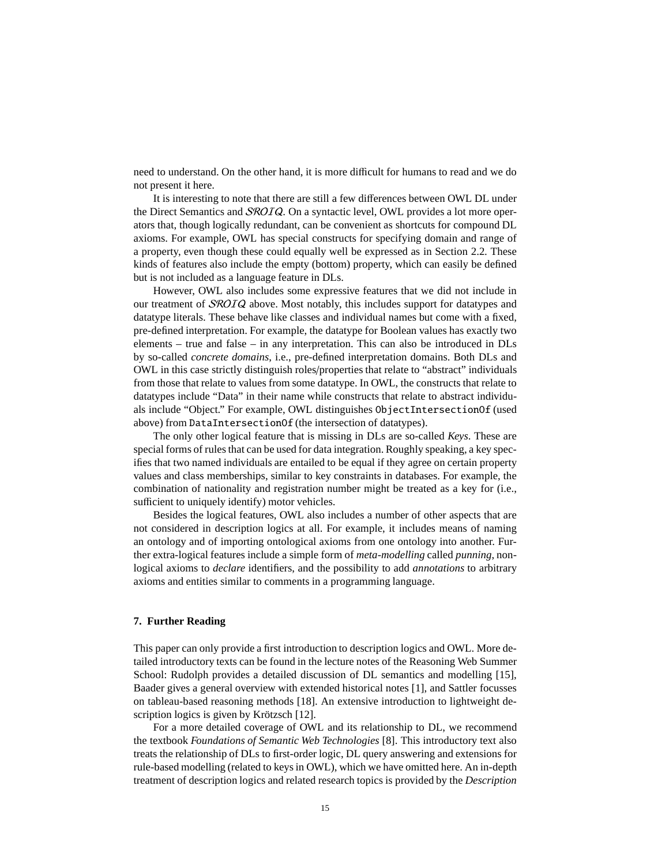need to understand. On the other hand, it is more difficult for humans to read and we do not present it here.

It is interesting to note that there are still a few differences between OWL DL under the Direct Semantics and *SROIQ*. On a syntactic level, OWL provides a lot more operators that, though logically redundant, can be convenient as shortcuts for compound DL axioms. For example, OWL has special constructs for specifying domain and range of a property, even though these could equally well be expressed as in Section [2.2.](#page-4-0) These kinds of features also include the empty (bottom) property, which can easily be defined but is not included as a language feature in DLs.

However, OWL also includes some expressive features that we did not include in our treatment of SROIQ above. Most notably, this includes support for datatypes and datatype literals. These behave like classes and individual names but come with a fixed, pre-defined interpretation. For example, the datatype for Boolean values has exactly two elements – true and false – in any interpretation. This can also be introduced in DLs by so-called *concrete domains*, i.e., pre-defined interpretation domains. Both DLs and OWL in this case strictly distinguish roles/properties that relate to "abstract" individuals from those that relate to values from some datatype. In OWL, the constructs that relate to datatypes include "Data" in their name while constructs that relate to abstract individuals include "Object." For example, OWL distinguishes ObjectIntersectionOf (used above) from DataIntersectionOf (the intersection of datatypes).

The only other logical feature that is missing in DLs are so-called *Keys*. These are special forms of rules that can be used for data integration. Roughly speaking, a key specifies that two named individuals are entailed to be equal if they agree on certain property values and class memberships, similar to key constraints in databases. For example, the combination of nationality and registration number might be treated as a key for (i.e., sufficient to uniquely identify) motor vehicles.

Besides the logical features, OWL also includes a number of other aspects that are not considered in description logics at all. For example, it includes means of naming an ontology and of importing ontological axioms from one ontology into another. Further extra-logical features include a simple form of *meta-modelling* called *punning*, nonlogical axioms to *declare* identifiers, and the possibility to add *annotations* to arbitrary axioms and entities similar to comments in a programming language.

#### <span id="page-14-0"></span>**7. Further Reading**

This paper can only provide a first introduction to description logics and OWL. More detailed introductory texts can be found in the lecture notes of the Reasoning Web Summer School: Rudolph provides a detailed discussion of DL semantics and modelling [\[15\]](#page-16-2), Baader gives a general overview with extended historical notes [\[1\]](#page-15-0), and Sattler focusses on tableau-based reasoning methods [\[18\]](#page-16-3). An extensive introduction to lightweight description logics is given by Krötzsch [\[12\]](#page-16-4).

For a more detailed coverage of OWL and its relationship to DL, we recommend the textbook *[Foundations of Semantic Web Technologies](http://www.semantic-web-book.org/)* [\[8\]](#page-16-5). This introductory text also treats the relationship of DLs to first-order logic, DL query answering and extensions for rule-based modelling (related to keys in OWL), which we have omitted here. An in-depth treatment of description logics and related research topics is provided by the *Description*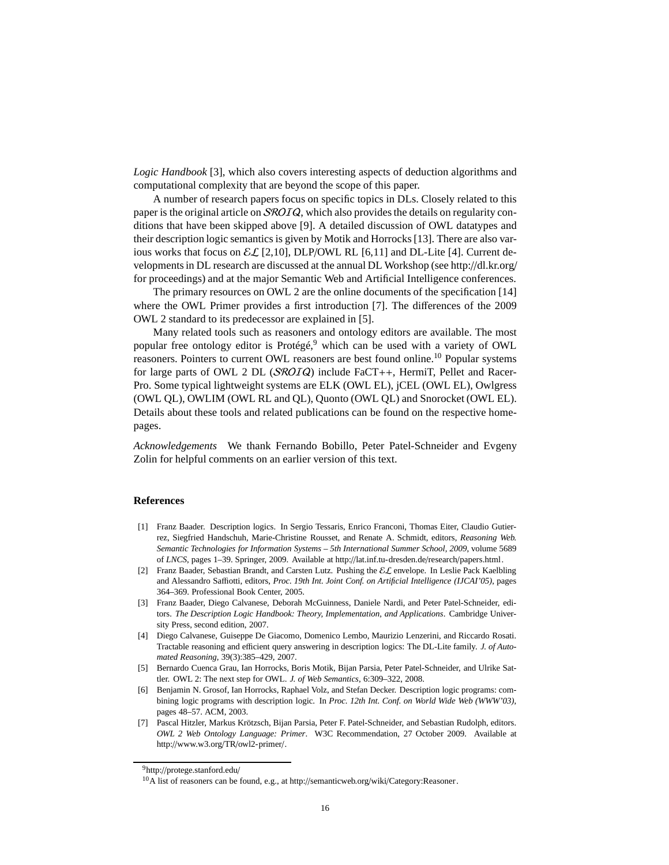*Logic Handbook* [\[3\]](#page-15-1), which also covers interesting aspects of deduction algorithms and computational complexity that are beyond the scope of this paper.

A number of research papers focus on specific topics in DLs. Closely related to this paper is the original article on SROIQ, which also provides the details on regularity conditions that have been skipped above [\[9\]](#page-16-6). A detailed discussion of OWL datatypes and their description logic semantics is given by Motik and Horrocks [\[13\]](#page-16-7). There are also various works that focus on  $\mathcal{EL}[2,10]$  $\mathcal{EL}[2,10]$  $\mathcal{EL}[2,10]$ , DLP/OWL RL [\[6,](#page-15-3)[11\]](#page-16-9) and DL-Lite [\[4\]](#page-15-4). Current developments in DL research are discussed at the annual DL Workshop (see http://[dl.kr.org](http://dl.kr.org/)/ for proceedings) and at the major Semantic Web and Artificial Intelligence conferences.

The primary resources on OWL 2 are the online documents of the specification [\[14\]](#page-16-10) where the OWL Primer provides a first introduction [\[7\]](#page-15-5). The differences of the 2009 OWL 2 standard to its predecessor are explained in [\[5\]](#page-15-6).

Many related tools such as reasoners and ontology editors are available. The most popular free ontology editor is Protégé,<sup>[9](#page-15-7)</sup> which can be used with a variety of OWL reasoners. Pointers to current OWL reasoners are best found online.<sup>[10](#page-15-8)</sup> Popular systems for large parts of OWL 2 DL (SROIQ) include FaCT++, HermiT, Pellet and Racer-Pro. Some typical lightweight systems are ELK (OWL EL), jCEL (OWL EL), Owlgress (OWL QL), OWLIM (OWL RL and QL), Quonto (OWL QL) and Snorocket (OWL EL). Details about these tools and related publications can be found on the respective homepages.

*Acknowledgements* We thank Fernando Bobillo, Peter Patel-Schneider and Evgeny Zolin for helpful comments on an earlier version of this text.

# **References**

- <span id="page-15-0"></span>[1] Franz Baader. Description logics. In Sergio Tessaris, Enrico Franconi, Thomas Eiter, Claudio Gutierrez, Siegfried Handschuh, Marie-Christine Rousset, and Renate A. Schmidt, editors, *Reasoning Web. Semantic Technologies for Information Systems – 5th International Summer School, 2009*, volume 5689 of *LNCS*, pages 1–39. Springer, 2009. Available at http://[lat.inf.tu-dresden.de](http://lat.inf.tu-dresden.de/research/papers.html)/research/papers.html.
- <span id="page-15-2"></span>[2] Franz Baader, Sebastian Brandt, and Carsten Lutz. Pushing the EL envelope. In Leslie Pack Kaelbling and Alessandro Saffiotti, editors, *Proc. 19th Int. Joint Conf. on Artificial Intelligence (IJCAI'05)*, pages 364–369. Professional Book Center, 2005.
- <span id="page-15-1"></span>[3] Franz Baader, Diego Calvanese, Deborah McGuinness, Daniele Nardi, and Peter Patel-Schneider, editors. *The Description Logic Handbook: Theory, Implementation, and Applications*. Cambridge University Press, second edition, 2007.
- <span id="page-15-4"></span>[4] Diego Calvanese, Guiseppe De Giacomo, Domenico Lembo, Maurizio Lenzerini, and Riccardo Rosati. Tractable reasoning and efficient query answering in description logics: The DL-Lite family. *J. of Automated Reasoning*, 39(3):385–429, 2007.
- <span id="page-15-6"></span>[5] Bernardo Cuenca Grau, Ian Horrocks, Boris Motik, Bijan Parsia, Peter Patel-Schneider, and Ulrike Sattler. OWL 2: The next step for OWL. *J. of Web Semantics*, 6:309–322, 2008.
- <span id="page-15-3"></span>[6] Benjamin N. Grosof, Ian Horrocks, Raphael Volz, and Stefan Decker. Description logic programs: combining logic programs with description logic. In *Proc. 12th Int. Conf. on World Wide Web (WWW'03)*, pages 48–57. ACM, 2003.
- <span id="page-15-5"></span>[7] Pascal Hitzler, Markus Krötzsch, Bijan Parsia, Peter F. Patel-Schneider, and Sebastian Rudolph, editors. *OWL 2 Web Ontology Language: Primer*. W3C Recommendation, 27 October 2009. Available at http://[www.w3.org](http://www.w3.org/TR/owl2-primer/)/TR/owl2-primer/.

<sup>9</sup>http://[protege.stanford.edu](http://protege.stanford.edu/)/

<span id="page-15-8"></span><span id="page-15-7"></span><sup>&</sup>lt;sup>10</sup>A list of reasoners can be found, e.g., at http://semanticweb.org/wiki/[Category:Reasoner.](http://semanticweb.org/wiki/Category:Reasoner)